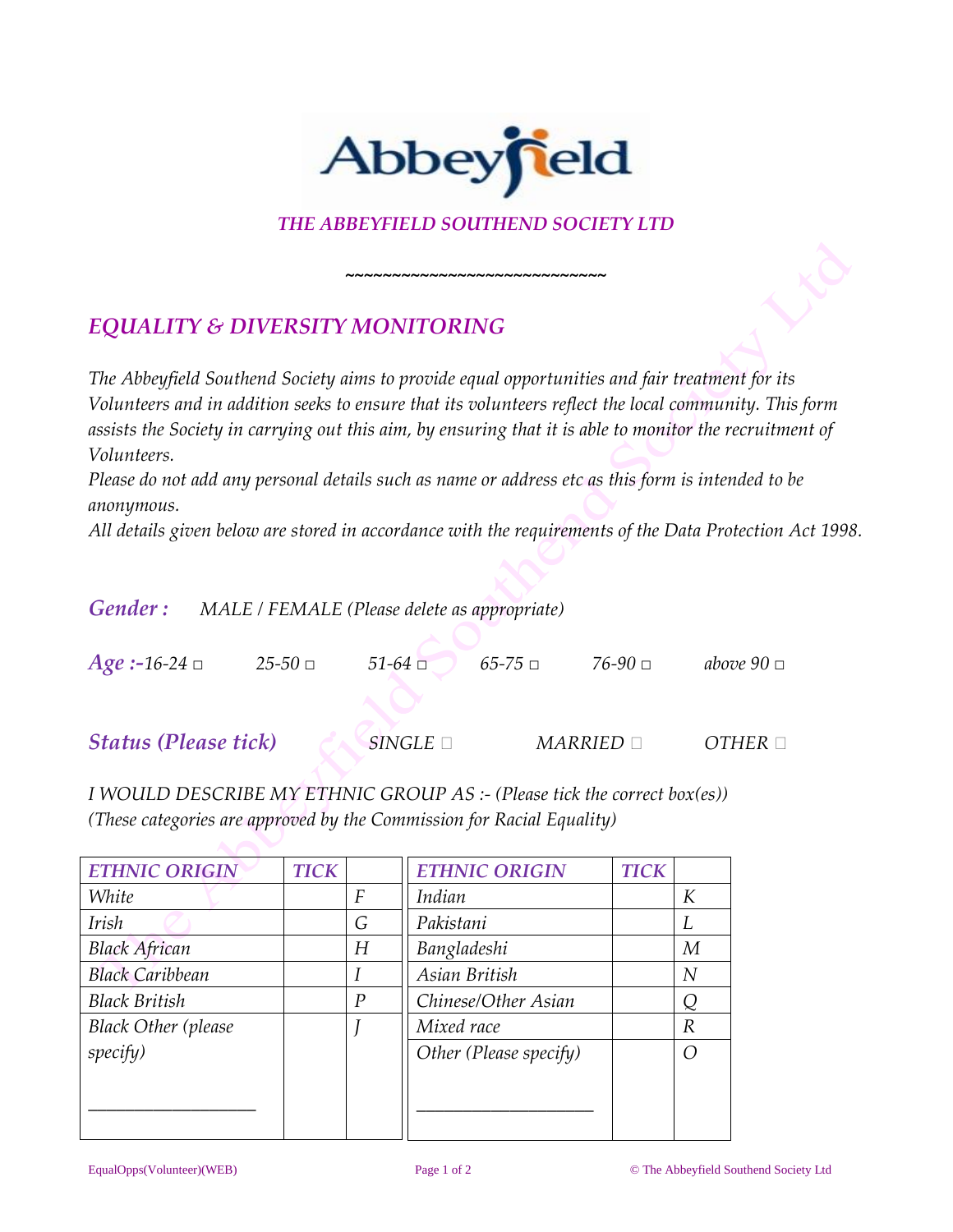

## *THE ABBEYFIELD SOUTHEND SOCIETY LTD*

*~~~~~~~~~~~~~~~~~~~~~~~~~~~~*

## *EQUALITY & DIVERSITY MONITORING*

*The Abbeyfield Southend Society aims to provide equal opportunities and fair treatment for its Volunteers and in addition seeks to ensure that its volunteers reflect the local community. This form assists the Society in carrying out this aim, by ensuring that it is able to monitor the recruitment of Volunteers.*

*Please do not add any personal details such as name or address etc as this form is intended to be anonymous.*

*All details given below are stored in accordance with the requirements of the Data Protection Act 1998.*

| <b>Gender:</b> MALE / FEMALE (Please delete as appropriate) |             |                    |             |                     |                    |
|-------------------------------------------------------------|-------------|--------------------|-------------|---------------------|--------------------|
| <i>Age</i> : -16-24 $\Box$                                  | $25 - 50$ □ | $51-64$ $\Box$     | $65 - 75 =$ | 76-90 □             | above $90 \square$ |
| <b>Status (Please tick)</b>                                 |             | $SINGLE$ $\square$ |             | $MARRIED$ $\square$ | $OTHER \square$    |

*I WOULD DESCRIBE MY ETHNIC GROUP AS :- (Please tick the correct box(es)) (These categories are approved by the Commission for Racial Equality)*

| <b>ETHNIC ORIGIN</b>       | <b>TICK</b> |                | <b>ETHNIC ORIGIN</b>   | <b>TICK</b> |                |
|----------------------------|-------------|----------------|------------------------|-------------|----------------|
| White                      |             | F              | Indian                 |             | К              |
| <b>Irish</b>               |             | G              | Pakistani              |             | L              |
| <b>Black African</b>       |             | H              | Bangladeshi            |             | M              |
| <b>Black Caribbean</b>     |             |                | Asian British          |             | $\overline{N}$ |
| <b>Black British</b>       |             | $\overline{P}$ | Chinese/Other Asian    |             | Q              |
| <b>Black Other (please</b> |             |                | Mixed race             |             | R              |
| specify)                   |             |                | Other (Please specify) |             | $\bigcap$      |
|                            |             |                |                        |             |                |
|                            |             |                |                        |             |                |
|                            |             |                |                        |             |                |